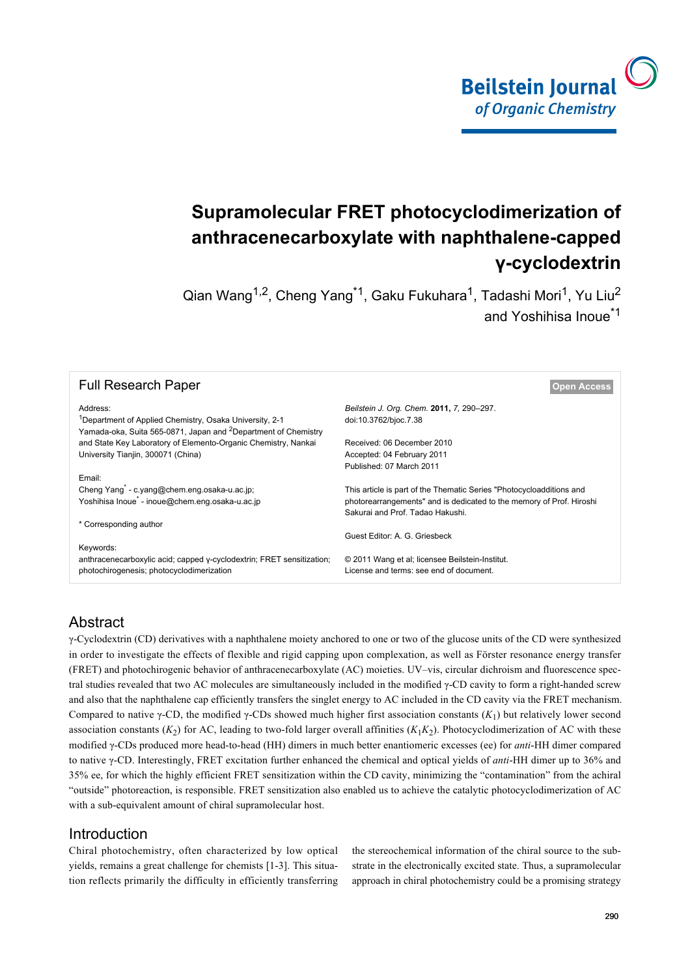

# **Supramolecular FRET photocyclodimerization of anthracenecarboxylate with naphthalene-capped γ-cyclodextrin**

Qian Wang<sup>1,2</sup>, Cheng Yang<sup>\*1</sup>, Gaku Fukuhara<sup>1</sup>, Tadashi Mori<sup>1</sup>, Yu Liu<sup>2</sup> and Yoshihisa Inoue<sup>\*1</sup>

| <b>Full Research Paper</b>                                                                                                                        | <b>Open Access</b>                                                   |  |  |  |  |  |
|---------------------------------------------------------------------------------------------------------------------------------------------------|----------------------------------------------------------------------|--|--|--|--|--|
| Address:                                                                                                                                          | Beilstein J. Org. Chem. 2011, 7, 290-297.                            |  |  |  |  |  |
| <sup>1</sup> Department of Applied Chemistry, Osaka University, 2-1<br>Yamada-oka, Suita 565-0871, Japan and <sup>2</sup> Department of Chemistry | doi:10.3762/bjoc.7.38                                                |  |  |  |  |  |
| and State Key Laboratory of Elemento-Organic Chemistry, Nankai                                                                                    | Received: 06 December 2010                                           |  |  |  |  |  |
| University Tianjin, 300071 (China)                                                                                                                | Accepted: 04 February 2011                                           |  |  |  |  |  |
|                                                                                                                                                   | Published: 07 March 2011                                             |  |  |  |  |  |
| Email:                                                                                                                                            |                                                                      |  |  |  |  |  |
| Cheng Yang <sup>*</sup> - c.yang@chem.eng.osaka-u.ac.jp;                                                                                          | This article is part of the Thematic Series "Photocycloadditions and |  |  |  |  |  |
| Yoshihisa Inoue <sup>*</sup> - inoue@chem.eng.osaka-u.ac.jp                                                                                       | photorearrangements" and is dedicated to the memory of Prof. Hiroshi |  |  |  |  |  |
|                                                                                                                                                   | Sakurai and Prof. Tadao Hakushi.                                     |  |  |  |  |  |
| * Corresponding author                                                                                                                            |                                                                      |  |  |  |  |  |
|                                                                                                                                                   | Guest Editor: A. G. Griesbeck                                        |  |  |  |  |  |
| Keywords:                                                                                                                                         |                                                                      |  |  |  |  |  |
| anthracenecarboxylic acid; capped y-cyclodextrin; FRET sensitization;                                                                             | © 2011 Wang et al; licensee Beilstein-Institut.                      |  |  |  |  |  |
| photochirogenesis; photocyclodimerization                                                                                                         | License and terms: see end of document.                              |  |  |  |  |  |

## Abstract

γ-Cyclodextrin (CD) derivatives with a naphthalene moiety anchored to one or two of the glucose units of the CD were synthesized in order to investigate the effects of flexible and rigid capping upon complexation, as well as Förster resonance energy transfer (FRET) and photochirogenic behavior of anthracenecarboxylate (AC) moieties. UV–vis, circular dichroism and fluorescence spectral studies revealed that two AC molecules are simultaneously included in the modified γ-CD cavity to form a right-handed screw and also that the naphthalene cap efficiently transfers the singlet energy to AC included in the CD cavity via the FRET mechanism. Compared to native  $\gamma$ -CD, the modified  $\gamma$ -CDs showed much higher first association constants  $(K_1)$  but relatively lower second association constants  $(K_2)$  for AC, leading to two-fold larger overall affinities  $(K_1K_2)$ . Photocyclodimerization of AC with these modified γ-CDs produced more head-to-head (HH) dimers in much better enantiomeric excesses (ee) for *anti*-HH dimer compared to native γ-CD. Interestingly, FRET excitation further enhanced the chemical and optical yields of *anti*-HH dimer up to 36% and 35% ee, for which the highly efficient FRET sensitization within the CD cavity, minimizing the "contamination" from the achiral "outside" photoreaction, is responsible. FRET sensitization also enabled us to achieve the catalytic photocyclodimerization of AC with a sub-equivalent amount of chiral supramolecular host.

## **Introduction**

Chiral photochemistry, often characterized by low optical yields, remains a great challenge for chemists [\[1-3\].](#page-6-0) This situation reflects primarily the difficulty in efficiently transferring the stereochemical information of the chiral source to the substrate in the electronically excited state. Thus, a supramolecular approach in chiral photochemistry could be a promising strategy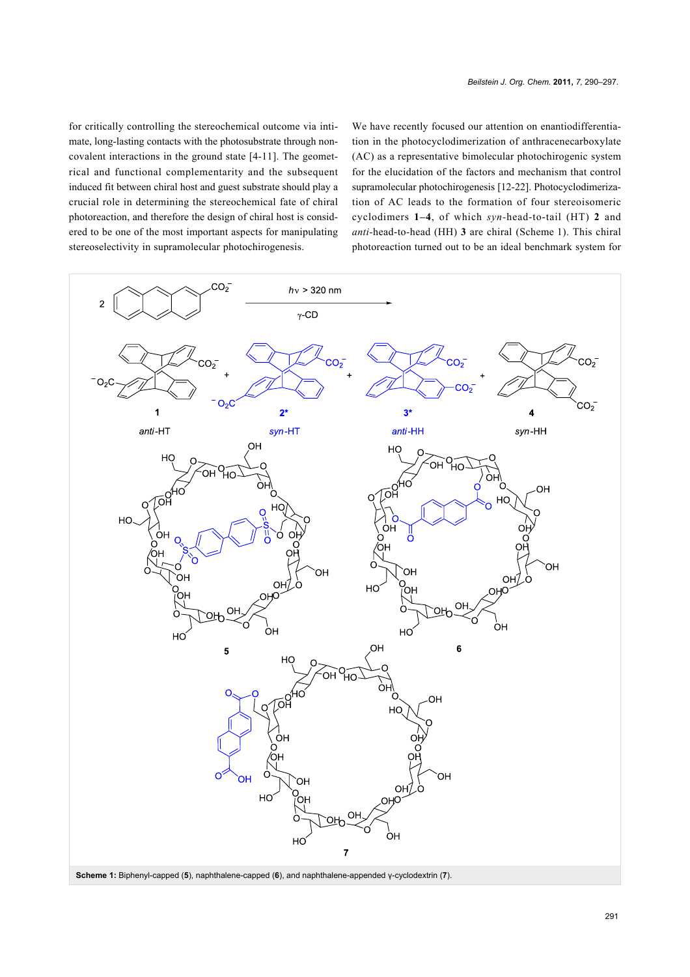for critically controlling the stereochemical outcome via intimate, long-lasting contacts with the photosubstrate through noncovalent interactions in the ground state [\[4-11\]](#page-6-1). The geometrical and functional complementarity and the subsequent induced fit between chiral host and guest substrate should play a crucial role in determining the stereochemical fate of chiral photoreaction, and therefore the design of chiral host is considered to be one of the most important aspects for manipulating stereoselectivity in supramolecular photochirogenesis.

We have recently focused our attention on enantiodifferentiation in the photocyclodimerization of anthracenecarboxylate (AC) as a representative bimolecular photochirogenic system for the elucidation of the factors and mechanism that control supramolecular photochirogenesis [\[12-22\]](#page-6-2). Photocyclodimerization of AC leads to the formation of four stereoisomeric cyclodimers **1–4**, of which *syn-*head-to-tail (HT) **2** and *anti-*head-to-head (HH) **3** are chiral ([Scheme 1](#page-1-0)). This chiral photoreaction turned out to be an ideal benchmark system for

<span id="page-1-0"></span>

**Scheme 1:** Biphenyl-capped (**5**), naphthalene-capped (**6**), and naphthalene-appended γ-cyclodextrin (**7**).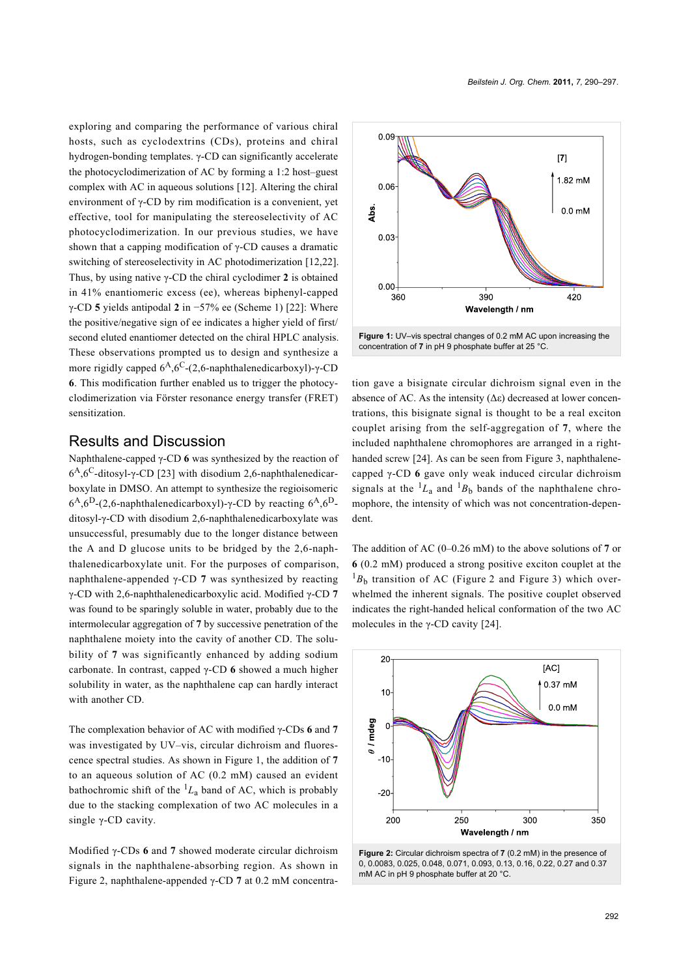exploring and comparing the performance of various chiral hosts, such as cyclodextrins (CDs), proteins and chiral hydrogen-bonding templates. γ-CD can significantly accelerate the photocyclodimerization of AC by forming a 1:2 host–guest complex with AC in aqueous solutions [\[12\]](#page-6-2). Altering the chiral environment of γ-CD by rim modification is a convenient, yet effective, tool for manipulating the stereoselectivity of AC photocyclodimerization. In our previous studies, we have shown that a capping modification of γ-CD causes a dramatic switching of stereoselectivity in AC photodimerization [\[12,22\]](#page-6-2). Thus, by using native γ-CD the chiral cyclodimer **2** is obtained in 41% enantiomeric excess (ee), whereas biphenyl-capped γ-CD **5** yields antipodal **2** in −57% ee [\(Scheme 1](#page-1-0)) [\[22\]](#page-6-3): Where the positive/negative sign of ee indicates a higher yield of first/ second eluted enantiomer detected on the chiral HPLC analysis. These observations prompted us to design and synthesize a more rigidly capped  $6<sup>A</sup>$ ,  $6<sup>C</sup>$ -(2,6-naphthalenedicarboxyl)-γ-CD **6**. This modification further enabled us to trigger the photocyclodimerization via Förster resonance energy transfer (FRET) sensitization.

### Results and Discussion

Naphthalene-capped γ-CD **6** was synthesized by the reaction of 6<sup>A</sup>, 6<sup>C</sup>-ditosyl-γ-CD [\[23\]](#page-6-4) with disodium 2,6-naphthalenedicarboxylate in DMSO. An attempt to synthesize the regioisomeric  $6^{A}$ ,  $6^{D}$ -(2,6-naphthalenedicarboxyl)-γ-CD by reacting  $6^{A}$ ,  $6^{D}$ ditosyl-γ-CD with disodium 2,6-naphthalenedicarboxylate was unsuccessful, presumably due to the longer distance between the A and D glucose units to be bridged by the 2,6-naphthalenedicarboxylate unit. For the purposes of comparison, naphthalene-appended γ-CD **7** was synthesized by reacting γ-CD with 2,6-naphthalenedicarboxylic acid. Modified γ-CD **7** was found to be sparingly soluble in water, probably due to the intermolecular aggregation of **7** by successive penetration of the naphthalene moiety into the cavity of another CD. The solubility of **7** was significantly enhanced by adding sodium carbonate. In contrast, capped γ-CD **6** showed a much higher solubility in water, as the naphthalene cap can hardly interact with another CD.

The complexation behavior of AC with modified γ-CDs **6** and **7** was investigated by UV–vis, circular dichroism and fluorescence spectral studies. As shown in [Figure 1](#page-2-0), the addition of **7** to an aqueous solution of AC (0.2 mM) caused an evident bathochromic shift of the  ${}^{1}L_{a}$  band of AC, which is probably due to the stacking complexation of two AC molecules in a single γ-CD cavity.

Modified γ-CDs **6** and **7** showed moderate circular dichroism signals in the naphthalene-absorbing region. As shown in [Figure 2](#page-2-1), naphthalene-appended γ-CD **7** at 0.2 mM concentra-

<span id="page-2-0"></span>

tion gave a bisignate circular dichroism signal even in the absence of AC. As the intensity  $(Δε)$  decreased at lower concentrations, this bisignate signal is thought to be a real exciton couplet arising from the self-aggregation of **7**, where the included naphthalene chromophores are arranged in a right-handed screw [\[24\]](#page-6-5). As can be seen from [Figure 3,](#page-3-0) naphthalenecapped γ-CD **6** gave only weak induced circular dichroism signals at the  ${}^{1}L_{a}$  and  ${}^{1}B_{b}$  bands of the naphthalene chromophore, the intensity of which was not concentration-dependent.

The addition of AC (0–0.26 mM) to the above solutions of **7** or **6** (0.2 mM) produced a strong positive exciton couplet at the  ${}^{1}B_{b}$  transition of AC ([Figure 2](#page-2-1) and [Figure 3\)](#page-3-0) which overwhelmed the inherent signals. The positive couplet observed indicates the right-handed helical conformation of the two AC molecules in the  $\gamma$ -CD cavity [\[24\]](#page-6-5).

<span id="page-2-1"></span>

<sup>0, 0.0083, 0.025, 0.048, 0.071, 0.093, 0.13, 0.16, 0.22, 0.27</sup> and 0.37 mM AC in pH 9 phosphate buffer at 20 °C.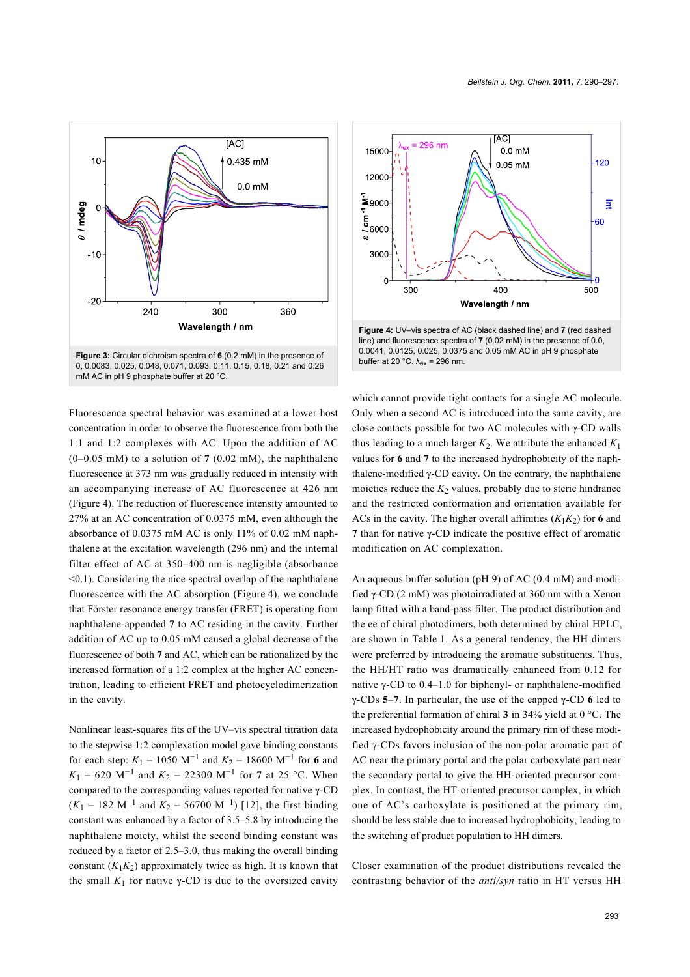<span id="page-3-0"></span>

Fluorescence spectral behavior was examined at a lower host concentration in order to observe the fluorescence from both the 1:1 and 1:2 complexes with AC. Upon the addition of AC (0–0.05 mM) to a solution of **7** (0.02 mM), the naphthalene fluorescence at 373 nm was gradually reduced in intensity with an accompanying increase of AC fluorescence at 426 nm ([Figure 4](#page-3-1)). The reduction of fluorescence intensity amounted to 27% at an AC concentration of 0.0375 mM, even although the absorbance of 0.0375 mM AC is only 11% of 0.02 mM naphthalene at the excitation wavelength (296 nm) and the internal filter effect of AC at 350–400 nm is negligible (absorbance  $\leq$ 0.1). Considering the nice spectral overlap of the naphthalene fluorescence with the AC absorption [\(Figure 4\)](#page-3-1), we conclude that Förster resonance energy transfer (FRET) is operating from naphthalene-appended **7** to AC residing in the cavity. Further addition of AC up to 0.05 mM caused a global decrease of the fluorescence of both **7** and AC, which can be rationalized by the increased formation of a 1:2 complex at the higher AC concentration, leading to efficient FRET and photocyclodimerization in the cavity.

Nonlinear least-squares fits of the UV–vis spectral titration data to the stepwise 1:2 complexation model gave binding constants for each step:  $K_1 = 1050 \text{ M}^{-1}$  and  $K_2 = 18600 \text{ M}^{-1}$  for **6** and  $K_1 = 620$  M<sup>-1</sup> and  $K_2 = 22300$  M<sup>-1</sup> for 7 at 25 °C. When compared to the corresponding values reported for native γ-CD  $(K_1 = 182 \text{ M}^{-1}$  and  $K_2 = 56700 \text{ M}^{-1}$ ) [\[12\],](#page-6-2) the first binding constant was enhanced by a factor of 3.5–5.8 by introducing the naphthalene moiety, whilst the second binding constant was reduced by a factor of 2.5–3.0, thus making the overall binding constant  $(K_1K_2)$  approximately twice as high. It is known that the small  $K_1$  for native  $\gamma$ -CD is due to the oversized cavity

<span id="page-3-1"></span>

which cannot provide tight contacts for a single AC molecule. Only when a second AC is introduced into the same cavity, are close contacts possible for two AC molecules with γ-CD walls thus leading to a much larger  $K_2$ . We attribute the enhanced  $K_1$ values for **6** and **7** to the increased hydrophobicity of the naphthalene-modified  $γ$ -CD cavity. On the contrary, the naphthalene moieties reduce the  $K_2$  values, probably due to steric hindrance and the restricted conformation and orientation available for ACs in the cavity. The higher overall affinities  $(K_1K_2)$  for 6 and **7** than for native γ-CD indicate the positive effect of aromatic modification on AC complexation.

An aqueous buffer solution (pH 9) of AC (0.4 mM) and modified γ-CD (2 mM) was photoirradiated at 360 nm with a Xenon lamp fitted with a band-pass filter. The product distribution and the ee of chiral photodimers, both determined by chiral HPLC, are shown in [Table 1](#page-4-0). As a general tendency, the HH dimers were preferred by introducing the aromatic substituents. Thus, the HH/HT ratio was dramatically enhanced from 0.12 for native γ-CD to 0.4–1.0 for biphenyl- or naphthalene-modified γ-CDs **5**–**7**. In particular, the use of the capped γ-CD **6** led to the preferential formation of chiral **3** in 34% yield at 0 °C. The increased hydrophobicity around the primary rim of these modified γ-CDs favors inclusion of the non-polar aromatic part of AC near the primary portal and the polar carboxylate part near the secondary portal to give the HH-oriented precursor complex. In contrast, the HT-oriented precursor complex, in which one of AC's carboxylate is positioned at the primary rim, should be less stable due to increased hydrophobicity, leading to the switching of product population to HH dimers.

Closer examination of the product distributions revealed the contrasting behavior of the *anti/syn* ratio in HT versus HH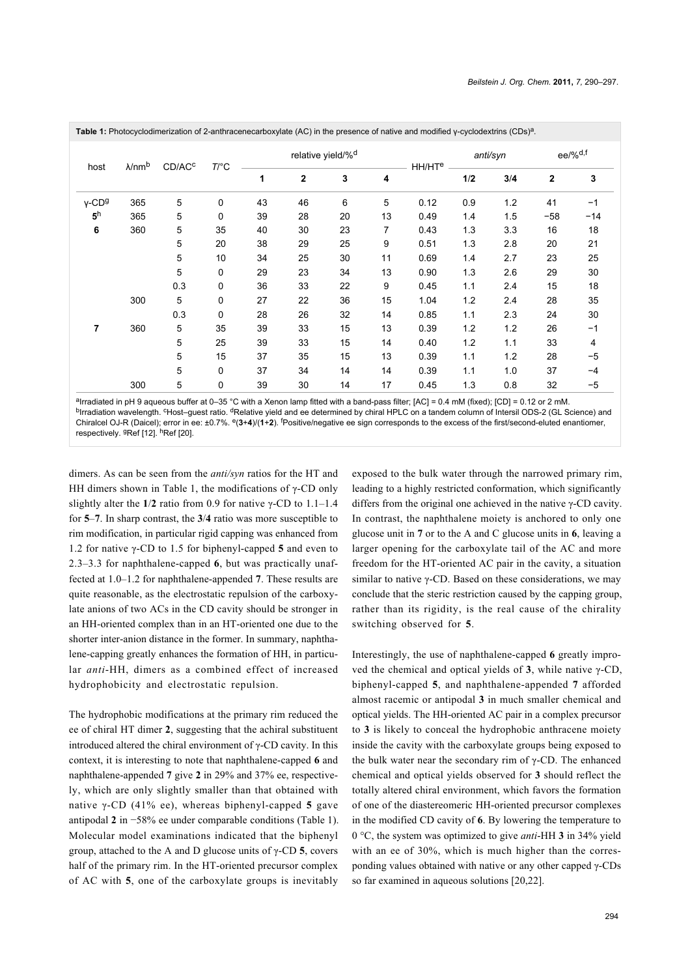| host                 | $\lambda$ /nmb | CD/AC <sup>c</sup> | $T$ /°C | relative yield/% <sup>d</sup> |                |    |    | anti/syn           |     | ee/% <sup>d,f</sup> |       |                |
|----------------------|----------------|--------------------|---------|-------------------------------|----------------|----|----|--------------------|-----|---------------------|-------|----------------|
|                      |                |                    |         | 1                             | $\overline{2}$ | 3  | 4  | HH/HT <sup>e</sup> | 1/2 | 3/4                 | 2     | 3              |
| $V$ -CD <sup>g</sup> | 365            | 5                  | 0       | 43                            | 46             | 6  | 5  | 0.12               | 0.9 | 1.2                 | 41    | $-1$           |
| 5 <sup>h</sup>       | 365            | 5                  | 0       | 39                            | 28             | 20 | 13 | 0.49               | 1.4 | 1.5                 | $-58$ | $-14$          |
| 6                    | 360            | 5                  | 35      | 40                            | 30             | 23 | 7  | 0.43               | 1.3 | 3.3                 | 16    | 18             |
|                      |                | 5                  | 20      | 38                            | 29             | 25 | 9  | 0.51               | 1.3 | 2.8                 | 20    | 21             |
|                      |                | 5                  | 10      | 34                            | 25             | 30 | 11 | 0.69               | 1.4 | 2.7                 | 23    | 25             |
|                      |                | 5                  | 0       | 29                            | 23             | 34 | 13 | 0.90               | 1.3 | 2.6                 | 29    | 30             |
|                      |                | 0.3                | 0       | 36                            | 33             | 22 | 9  | 0.45               | 1.1 | 2.4                 | 15    | 18             |
|                      | 300            | 5                  | 0       | 27                            | 22             | 36 | 15 | 1.04               | 1.2 | 2.4                 | 28    | 35             |
|                      |                | 0.3                | 0       | 28                            | 26             | 32 | 14 | 0.85               | 1.1 | 2.3                 | 24    | 30             |
| 7                    | 360            | 5                  | 35      | 39                            | 33             | 15 | 13 | 0.39               | 1.2 | 1.2                 | 26    | $-1$           |
|                      |                | 5                  | 25      | 39                            | 33             | 15 | 14 | 0.40               | 1.2 | 1.1                 | 33    | $\overline{4}$ |
|                      |                | 5                  | 15      | 37                            | 35             | 15 | 13 | 0.39               | 1.1 | 1.2                 | 28    | $-5$           |
|                      |                | 5                  | 0       | 37                            | 34             | 14 | 14 | 0.39               | 1.1 | 1.0                 | 37    | $-4$           |
|                      | 300            | 5                  | 0       | 39                            | 30             | 14 | 17 | 0.45               | 1.3 | 0.8                 | 32    | $-5$           |

<span id="page-4-0"></span>**Table 1:** Photocyclodimerization of 2-anthracenecarboxylate (AC) in the presence of native and modified γ-cyclodextrins (CDs)<sup>a</sup> *.*

alrradiated in pH 9 aqueous buffer at 0–35 °C with a Xenon lamp fitted with a band-pass filter; [AC] = 0.4 mM (fixed); [CD] = 0.12 or 2 mM. <sup>b</sup>Irradiation wavelength. <sup>c</sup>Host–guest ratio. <sup>d</sup>Relative yield and ee determined by chiral HPLC on a tandem column of Intersil ODS-2 (GL Science) and Chiralcel OJ-R (Daicel); error in ee: ±0.7%. <sup>e</sup>(3+4)/(1+2). <sup>f</sup>Positive/negative ee sign corresponds to the excess of the first/second-eluted enantiomer, respectively. <sup>g</sup>Ref [\[12\].](#page-6-2) <sup>h</sup>Ref [\[20\]](#page-6-6).

dimers. As can be seen from the *anti/syn* ratios for the HT and HH dimers shown in [Table 1](#page-4-0), the modifications of  $\gamma$ -CD only slightly alter the **1**/**2** ratio from 0.9 for native γ-CD to 1.1–1.4 for **5**–**7**. In sharp contrast, the **3**/**4** ratio was more susceptible to rim modification, in particular rigid capping was enhanced from 1.2 for native γ-CD to 1.5 for biphenyl-capped **5** and even to 2.3–3.3 for naphthalene-capped **6**, but was practically unaffected at 1.0–1.2 for naphthalene-appended **7**. These results are quite reasonable, as the electrostatic repulsion of the carboxylate anions of two ACs in the CD cavity should be stronger in an HH-oriented complex than in an HT-oriented one due to the shorter inter-anion distance in the former. In summary, naphthalene-capping greatly enhances the formation of HH, in particular *anti*-HH, dimers as a combined effect of increased hydrophobicity and electrostatic repulsion.

The hydrophobic modifications at the primary rim reduced the ee of chiral HT dimer **2**, suggesting that the achiral substituent introduced altered the chiral environment of γ-CD cavity. In this context, it is interesting to note that naphthalene-capped **6** and naphthalene-appended **7** give **2** in 29% and 37% ee, respectively, which are only slightly smaller than that obtained with native γ-CD (41% ee), whereas biphenyl-capped **5** gave antipodal **2** in −58% ee under comparable conditions [\(Table 1\)](#page-4-0). Molecular model examinations indicated that the biphenyl group, attached to the A and D glucose units of γ-CD **5**, covers half of the primary rim. In the HT-oriented precursor complex of AC with **5**, one of the carboxylate groups is inevitably

exposed to the bulk water through the narrowed primary rim, leading to a highly restricted conformation, which significantly differs from the original one achieved in the native γ-CD cavity. In contrast, the naphthalene moiety is anchored to only one glucose unit in **7** or to the A and C glucose units in **6**, leaving a larger opening for the carboxylate tail of the AC and more freedom for the HT-oriented AC pair in the cavity, a situation similar to native γ-CD. Based on these considerations, we may conclude that the steric restriction caused by the capping group, rather than its rigidity, is the real cause of the chirality switching observed for **5**.

Interestingly, the use of naphthalene-capped **6** greatly improved the chemical and optical yields of **3**, while native γ-CD, biphenyl-capped **5**, and naphthalene-appended **7** afforded almost racemic or antipodal **3** in much smaller chemical and optical yields. The HH-oriented AC pair in a complex precursor to **3** is likely to conceal the hydrophobic anthracene moiety inside the cavity with the carboxylate groups being exposed to the bulk water near the secondary rim of γ-CD. The enhanced chemical and optical yields observed for **3** should reflect the totally altered chiral environment, which favors the formation of one of the diastereomeric HH-oriented precursor complexes in the modified CD cavity of **6**. By lowering the temperature to 0 °C, the system was optimized to give *anti*-HH **3** in 34% yield with an ee of 30%, which is much higher than the corresponding values obtained with native or any other capped γ-CDs so far examined in aqueous solutions [\[20,22\]](#page-6-6).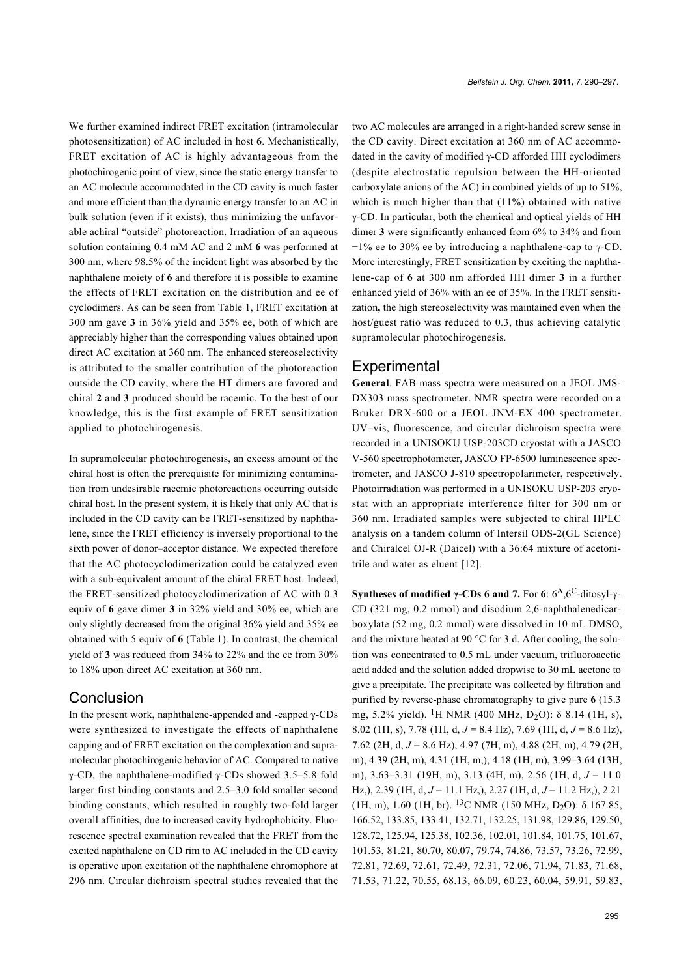We further examined indirect FRET excitation (intramolecular photosensitization) of AC included in host **6**. Mechanistically, FRET excitation of AC is highly advantageous from the photochirogenic point of view, since the static energy transfer to an AC molecule accommodated in the CD cavity is much faster and more efficient than the dynamic energy transfer to an AC in bulk solution (even if it exists), thus minimizing the unfavorable achiral "outside" photoreaction. Irradiation of an aqueous solution containing 0.4 mM AC and 2 mM **6** was performed at 300 nm, where 98.5% of the incident light was absorbed by the naphthalene moiety of **6** and therefore it is possible to examine the effects of FRET excitation on the distribution and ee of cyclodimers. As can be seen from [Table 1](#page-4-0), FRET excitation at 300 nm gave **3** in 36% yield and 35% ee, both of which are appreciably higher than the corresponding values obtained upon direct AC excitation at 360 nm. The enhanced stereoselectivity is attributed to the smaller contribution of the photoreaction outside the CD cavity, where the HT dimers are favored and chiral **2** and **3** produced should be racemic. To the best of our knowledge, this is the first example of FRET sensitization applied to photochirogenesis.

In supramolecular photochirogenesis, an excess amount of the chiral host is often the prerequisite for minimizing contamination from undesirable racemic photoreactions occurring outside chiral host. In the present system, it is likely that only AC that is included in the CD cavity can be FRET-sensitized by naphthalene, since the FRET efficiency is inversely proportional to the sixth power of donor–acceptor distance. We expected therefore that the AC photocyclodimerization could be catalyzed even with a sub-equivalent amount of the chiral FRET host. Indeed, the FRET-sensitized photocyclodimerization of AC with 0.3 equiv of **6** gave dimer **3** in 32% yield and 30% ee, which are only slightly decreased from the original 36% yield and 35% ee obtained with 5 equiv of **6** ([Table 1\)](#page-4-0). In contrast, the chemical yield of **3** was reduced from 34% to 22% and the ee from 30% to 18% upon direct AC excitation at 360 nm.

#### **Conclusion**

In the present work, naphthalene-appended and -capped γ-CDs were synthesized to investigate the effects of naphthalene capping and of FRET excitation on the complexation and supramolecular photochirogenic behavior of AC. Compared to native γ-CD, the naphthalene-modified γ-CDs showed 3.5–5.8 fold larger first binding constants and 2.5–3.0 fold smaller second binding constants, which resulted in roughly two-fold larger overall affinities, due to increased cavity hydrophobicity. Fluorescence spectral examination revealed that the FRET from the excited naphthalene on CD rim to AC included in the CD cavity is operative upon excitation of the naphthalene chromophore at 296 nm. Circular dichroism spectral studies revealed that the two AC molecules are arranged in a right-handed screw sense in the CD cavity. Direct excitation at 360 nm of AC accommodated in the cavity of modified γ-CD afforded HH cyclodimers (despite electrostatic repulsion between the HH-oriented carboxylate anions of the AC) in combined yields of up to 51%, which is much higher than that  $(11\%)$  obtained with native γ-CD. In particular, both the chemical and optical yields of HH dimer **3** were significantly enhanced from 6% to 34% and from −1% ee to 30% ee by introducing a naphthalene-cap to γ-CD. More interestingly, FRET sensitization by exciting the naphthalene-cap of **6** at 300 nm afforded HH dimer **3** in a further enhanced yield of 36% with an ee of 35%. In the FRET sensitization**,** the high stereoselectivity was maintained even when the host/guest ratio was reduced to 0.3, thus achieving catalytic supramolecular photochirogenesis.

#### **Experimental**

**General**. FAB mass spectra were measured on a JEOL JMS-DX303 mass spectrometer. NMR spectra were recorded on a Bruker DRX-600 or a JEOL JNM-EX 400 spectrometer. UV–vis, fluorescence, and circular dichroism spectra were recorded in a UNISOKU USP-203CD cryostat with a JASCO V-560 spectrophotometer, JASCO FP-6500 luminescence spectrometer, and JASCO J-810 spectropolarimeter, respectively. Photoirradiation was performed in a UNISOKU USP-203 cryostat with an appropriate interference filter for 300 nm or 360 nm. Irradiated samples were subjected to chiral HPLC analysis on a tandem column of Intersil ODS-2(GL Science) and Chiralcel OJ-R (Daicel) with a 36:64 mixture of acetonitrile and water as eluent [\[12\]](#page-6-2).

**Syntheses of modified γ-CDs 6 and 7.** For 6:  $6^A$ ,  $6^C$ -ditosyl-γ-CD (321 mg, 0.2 mmol) and disodium 2,6-naphthalenedicarboxylate (52 mg, 0.2 mmol) were dissolved in 10 mL DMSO, and the mixture heated at 90 °C for 3 d. After cooling, the solution was concentrated to 0.5 mL under vacuum, trifluoroacetic acid added and the solution added dropwise to 30 mL acetone to give a precipitate. The precipitate was collected by filtration and purified by reverse-phase chromatography to give pure **6** (15.3 mg, 5.2% yield). <sup>1</sup>H NMR (400 MHz, D<sub>2</sub>O):  $\delta$  8.14 (1H, s), 8.02 (1H, s), 7.78 (1H, d, *J* = 8.4 Hz), 7.69 (1H, d, *J* = 8.6 Hz), 7.62 (2H, d, *J* = 8.6 Hz), 4.97 (7H, m), 4.88 (2H, m), 4.79 (2H, m), 4.39 (2H, m), 4.31 (1H, m,), 4.18 (1H, m), 3.99–3.64 (13H, m), 3.63–3.31 (19H, m), 3.13 (4H, m), 2.56 (1H, d, *J* = 11.0 Hz,), 2.39 (1H, d, *J* = 11.1 Hz,), 2.27 (1H, d, *J* = 11.2 Hz,), 2.21 (1H, m), 1.60 (1H, br). <sup>13</sup>C NMR (150 MHz, D<sub>2</sub>O):  $\delta$  167.85, 166.52, 133.85, 133.41, 132.71, 132.25, 131.98, 129.86, 129.50, 128.72, 125.94, 125.38, 102.36, 102.01, 101.84, 101.75, 101.67, 101.53, 81.21, 80.70, 80.07, 79.74, 74.86, 73.57, 73.26, 72.99, 72.81, 72.69, 72.61, 72.49, 72.31, 72.06, 71.94, 71.83, 71.68, 71.53, 71.22, 70.55, 68.13, 66.09, 60.23, 60.04, 59.91, 59.83,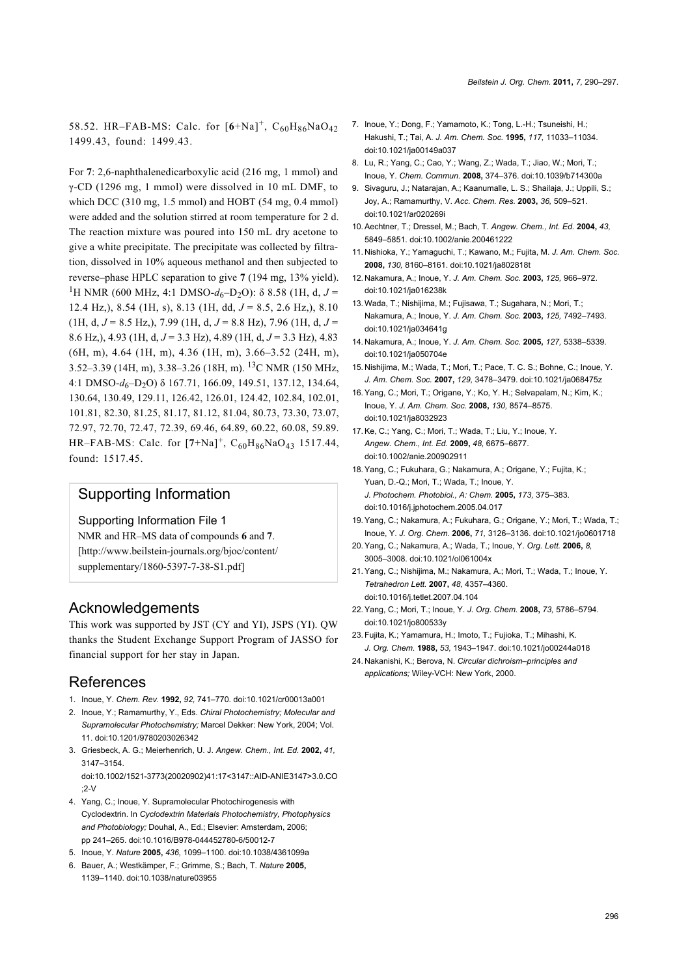58.52. HR-FAB-MS: Calc. for  $[6+Na]^+$ ,  $C_{60}H_{86}NaO_{42}$ 1499.43, found: 1499.43.

For **7**: 2,6-naphthalenedicarboxylic acid (216 mg, 1 mmol) and γ-CD (1296 mg, 1 mmol) were dissolved in 10 mL DMF, to which DCC (310 mg, 1.5 mmol) and HOBT (54 mg, 0.4 mmol) were added and the solution stirred at room temperature for 2 d. The reaction mixture was poured into 150 mL dry acetone to give a white precipitate. The precipitate was collected by filtration, dissolved in 10% aqueous methanol and then subjected to reverse–phase HPLC separation to give **7** (194 mg, 13% yield). <sup>1</sup>H NMR (600 MHz, 4:1 DMSO- $d_6$ -D<sub>2</sub>O): δ 8.58 (1H, d, J = 12.4 Hz,), 8.54 (1H, s), 8.13 (1H, dd, *J* = 8.5, 2.6 Hz,), 8.10  $(1H, d, J = 8.5 Hz)$ , 7.99 (1H, d,  $J = 8.8 Hz$ ), 7.96 (1H, d,  $J =$ 8.6 Hz,), 4.93 (1H, d, *J* = 3.3 Hz), 4.89 (1H, d, *J* = 3.3 Hz), 4.83 (6H, m), 4.64 (1H, m), 4.36 (1H, m), 3.66–3.52 (24H, m), 3.52–3.39 (14H, m), 3.38–3.26 (18H, m). 13C NMR (150 MHz, 4:1 DMSO-*d*<sub>6</sub>-D<sub>2</sub>O) δ 167.71, 166.09, 149.51, 137.12, 134.64, 130.64, 130.49, 129.11, 126.42, 126.01, 124.42, 102.84, 102.01, 101.81, 82.30, 81.25, 81.17, 81.12, 81.04, 80.73, 73.30, 73.07, 72.97, 72.70, 72.47, 72.39, 69.46, 64.89, 60.22, 60.08, 59.89. HR–FAB-MS: Calc. for [**7**+Na]<sup>+</sup> , C60H86NaO43 1517.44, found: 1517.45.

## Supporting Information

Supporting Information File 1

NMR and HR–MS data of compounds **6** and **7**. [\[http://www.beilstein-journals.org/bjoc/content/](http://www.beilstein-journals.org/bjoc/content/supplementary/1860-5397-7-38-S1.pdf) [supplementary/1860-5397-7-38-S1.pdf\]](http://www.beilstein-journals.org/bjoc/content/supplementary/1860-5397-7-38-S1.pdf)

#### Acknowledgements

This work was supported by JST (CY and YI), JSPS (YI). QW thanks the Student Exchange Support Program of JASSO for financial support for her stay in Japan.

#### References

- <span id="page-6-0"></span>1. Inoue, Y. *Chem. Rev.* **1992,** *92,* 741–770. [doi:10.1021/cr00013a001](http://dx.doi.org/10.1021%2Fcr00013a001)
- 2. Inoue, Y.; Ramamurthy, Y., Eds. *Chiral Photochemistry; Molecular and Supramolecular Photochemistry;* Marcel Dekker: New York, 2004; Vol. 11. [doi:10.1201/9780203026342](http://dx.doi.org/10.1201%2F9780203026342)
- 3. Griesbeck, A. G.; Meierhenrich, U. J. *Angew. Chem., Int. Ed.* **2002,** *41,* 3147–3154.

[doi:10.1002/1521-3773\(20020902\)41:17<3147::AID-ANIE3147>3.0.CO](http://dx.doi.org/10.1002%2F1521-3773%2820020902%2941%3A17%3C3147%3A%3AAID-ANIE3147%3E3.0.CO%3B2-V) [;2-V](http://dx.doi.org/10.1002%2F1521-3773%2820020902%2941%3A17%3C3147%3A%3AAID-ANIE3147%3E3.0.CO%3B2-V)

- <span id="page-6-1"></span>4. Yang, C.; Inoue, Y. Supramolecular Photochirogenesis with Cyclodextrin. In *Cyclodextrin Materials Photochemistry, Photophysics and Photobiology;* Douhal, A., Ed.; Elsevier: Amsterdam, 2006; pp 241–265. [doi:10.1016/B978-044452780-6/50012-7](http://dx.doi.org/10.1016%2FB978-044452780-6%2F50012-7)
- 5. Inoue, Y. *Nature* **2005,** *436,* 1099–1100. [doi:10.1038/4361099a](http://dx.doi.org/10.1038%2F4361099a)
- 6. Bauer, A.; Westkämper, F.; Grimme, S.; Bach, T. *Nature* **2005,** 1139–1140. [doi:10.1038/nature03955](http://dx.doi.org/10.1038%2Fnature03955)
- 7. Inoue, Y.; Dong, F.; Yamamoto, K.; Tong, L.-H.; Tsuneishi, H.; Hakushi, T.; Tai, A. *J. Am. Chem. Soc.* **1995,** *117,* 11033–11034. [doi:10.1021/ja00149a037](http://dx.doi.org/10.1021%2Fja00149a037)
- 8. Lu, R.; Yang, C.; Cao, Y.; Wang, Z.; Wada, T.; Jiao, W.; Mori, T.; Inoue, Y. *Chem. Commun.* **2008,** 374–376. [doi:10.1039/b714300a](http://dx.doi.org/10.1039%2Fb714300a)
- 9. Sivaguru, J.; Natarajan, A.; Kaanumalle, L. S.; Shailaja, J.; Uppili, S.; Joy, A.; Ramamurthy, V. *Acc. Chem. Res.* **2003,** *36,* 509–521. [doi:10.1021/ar020269i](http://dx.doi.org/10.1021%2Far020269i)
- 10.Aechtner, T.; Dressel, M.; Bach, T. *Angew. Chem., Int. Ed.* **2004,** *43,* 5849–5851. [doi:10.1002/anie.200461222](http://dx.doi.org/10.1002%2Fanie.200461222)
- 11. Nishioka, Y.; Yamaguchi, T.; Kawano, M.; Fujita, M. *J. Am. Chem. Soc.* **2008,** *130,* 8160–8161. [doi:10.1021/ja802818t](http://dx.doi.org/10.1021%2Fja802818t)
- <span id="page-6-2"></span>12. Nakamura, A.; Inoue, Y. *J. Am. Chem. Soc.* **2003,** *125,* 966–972. [doi:10.1021/ja016238k](http://dx.doi.org/10.1021%2Fja016238k)
- 13.Wada, T.; Nishijima, M.; Fujisawa, T.; Sugahara, N.; Mori, T.; Nakamura, A.; Inoue, Y. *J. Am. Chem. Soc.* **2003,** *125,* 7492–7493. [doi:10.1021/ja034641g](http://dx.doi.org/10.1021%2Fja034641g)
- 14. Nakamura, A.; Inoue, Y. *J. Am. Chem. Soc.* **2005,** *127,* 5338–5339. [doi:10.1021/ja050704e](http://dx.doi.org/10.1021%2Fja050704e)
- 15. Nishijima, M.; Wada, T.; Mori, T.; Pace, T. C. S.; Bohne, C.; Inoue, Y. *J. Am. Chem. Soc.* **2007,** *129,* 3478–3479. [doi:10.1021/ja068475z](http://dx.doi.org/10.1021%2Fja068475z)
- 16.Yang, C.; Mori, T.; Origane, Y.; Ko, Y. H.; Selvapalam, N.; Kim, K.; Inoue, Y. *J. Am. Chem. Soc.* **2008,** *130,* 8574–8575. [doi:10.1021/ja8032923](http://dx.doi.org/10.1021%2Fja8032923)
- 17.Ke, C.; Yang, C.; Mori, T.; Wada, T.; Liu, Y.; Inoue, Y. *Angew. Chem., Int. Ed.* **2009,** *48,* 6675–6677. [doi:10.1002/anie.200902911](http://dx.doi.org/10.1002%2Fanie.200902911)
- 18.Yang, C.; Fukuhara, G.; Nakamura, A.; Origane, Y.; Fujita, K.; Yuan, D.-Q.; Mori, T.; Wada, T.; Inoue, Y. *J. Photochem. Photobiol., A: Chem.* **2005,** *173,* 375–383. [doi:10.1016/j.jphotochem.2005.04.017](http://dx.doi.org/10.1016%2Fj.jphotochem.2005.04.017)
- 19.Yang, C.; Nakamura, A.; Fukuhara, G.; Origane, Y.; Mori, T.; Wada, T.; Inoue, Y. *J. Org. Chem.* **2006,** *71,* 3126–3136. [doi:10.1021/jo0601718](http://dx.doi.org/10.1021%2Fjo0601718)
- <span id="page-6-6"></span>20.Yang, C.; Nakamura, A.; Wada, T.; Inoue, Y. *Org. Lett.* **2006,** *8,* 3005–3008. [doi:10.1021/ol061004x](http://dx.doi.org/10.1021%2Fol061004x)
- 21.Yang, C.; Nishijima, M.; Nakamura, A.; Mori, T.; Wada, T.; Inoue, Y. *Tetrahedron Lett.* **2007,** *48,* 4357–4360. [doi:10.1016/j.tetlet.2007.04.104](http://dx.doi.org/10.1016%2Fj.tetlet.2007.04.104)
- <span id="page-6-3"></span>22.Yang, C.; Mori, T.; Inoue, Y. *J. Org. Chem.* **2008,** *73,* 5786–5794. [doi:10.1021/jo800533y](http://dx.doi.org/10.1021%2Fjo800533y)
- <span id="page-6-4"></span>23.Fujita, K.; Yamamura, H.; Imoto, T.; Fujioka, T.; Mihashi, K. *J. Org. Chem.* **1988,** *53,* 1943–1947. [doi:10.1021/jo00244a018](http://dx.doi.org/10.1021%2Fjo00244a018)
- <span id="page-6-5"></span>24. Nakanishi, K.; Berova, N. *Circular dichroism–principles and applications;* Wiley-VCH: New York, 2000.